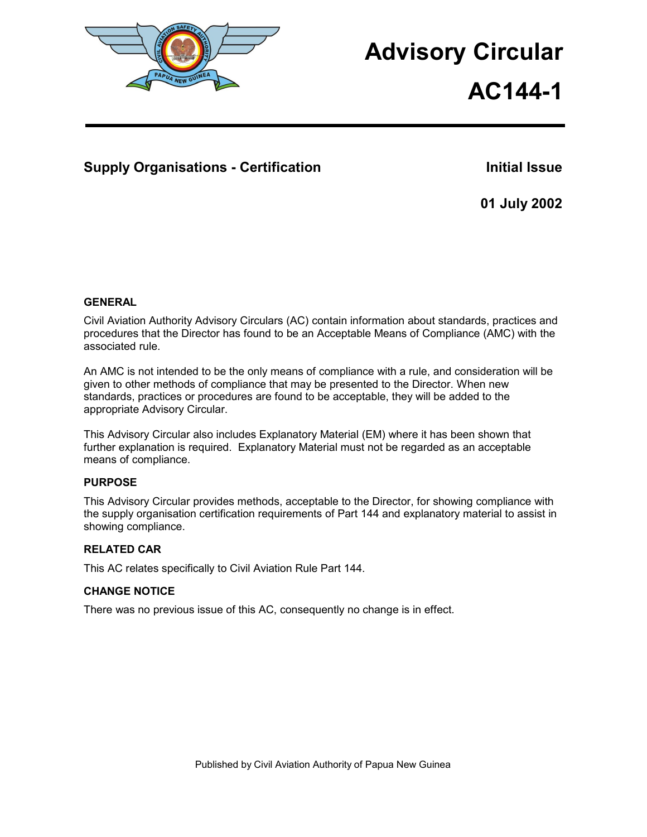

# **Advisory Circular**

**AC144-1**

# **Supply Organisations - Certification Initial Issue Results and Initial Issue**

**01 July 2002** 

# **GENERAL**

Civil Aviation Authority Advisory Circulars (AC) contain information about standards, practices and procedures that the Director has found to be an Acceptable Means of Compliance (AMC) with the associated rule.

An AMC is not intended to be the only means of compliance with a rule, and consideration will be given to other methods of compliance that may be presented to the Director. When new standards, practices or procedures are found to be acceptable, they will be added to the appropriate Advisory Circular.

This Advisory Circular also includes Explanatory Material (EM) where it has been shown that further explanation is required. Explanatory Material must not be regarded as an acceptable means of compliance.

# **PURPOSE**

This Advisory Circular provides methods, acceptable to the Director, for showing compliance with the supply organisation certification requirements of Part 144 and explanatory material to assist in showing compliance.

# **RELATED CAR**

This AC relates specifically to Civil Aviation Rule Part 144.

# **CHANGE NOTICE**

There was no previous issue of this AC, consequently no change is in effect.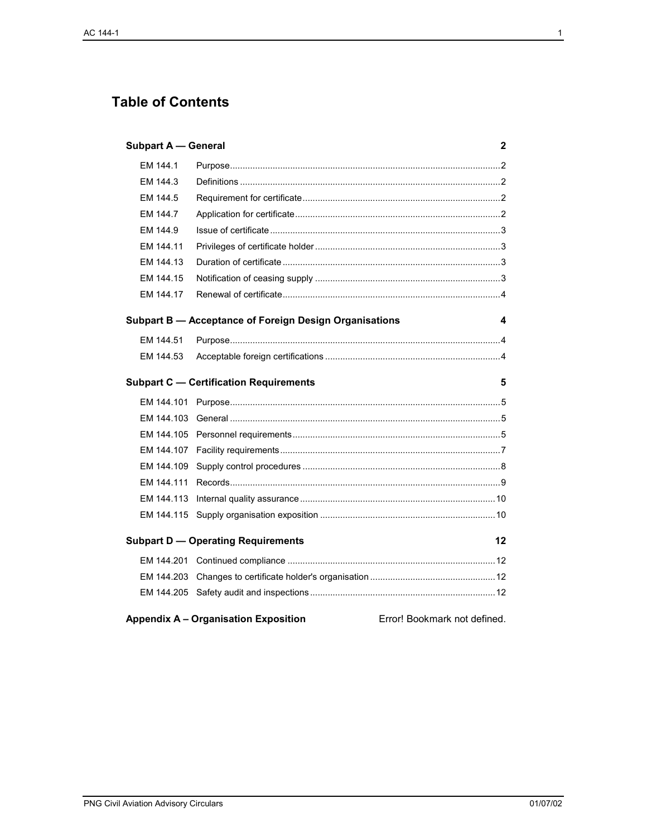# **Table of Contents**

| <b>Subpart A - General</b><br>2                                             |  |  |
|-----------------------------------------------------------------------------|--|--|
| EM 144.1                                                                    |  |  |
| EM 144.3                                                                    |  |  |
| EM 144.5                                                                    |  |  |
| EM 144.7                                                                    |  |  |
| EM 144.9                                                                    |  |  |
| EM 144.11                                                                   |  |  |
| EM 144.13                                                                   |  |  |
| EM 144.15                                                                   |  |  |
| EM 144.17                                                                   |  |  |
| Subpart B - Acceptance of Foreign Design Organisations<br>4                 |  |  |
| EM 144.51                                                                   |  |  |
| EM 144.53                                                                   |  |  |
| <b>Subpart C - Certification Requirements</b><br>5                          |  |  |
| EM 144.101                                                                  |  |  |
| EM 144.103                                                                  |  |  |
| EM 144.105                                                                  |  |  |
| EM 144.107                                                                  |  |  |
| EM 144.109                                                                  |  |  |
| EM 144.111                                                                  |  |  |
| EM 144.113                                                                  |  |  |
| EM 144.115                                                                  |  |  |
| <b>Subpart D - Operating Requirements</b><br>12                             |  |  |
|                                                                             |  |  |
| EM 144.203                                                                  |  |  |
|                                                                             |  |  |
| <b>Appendix A - Organisation Exposition</b><br>Error! Bookmark not defined. |  |  |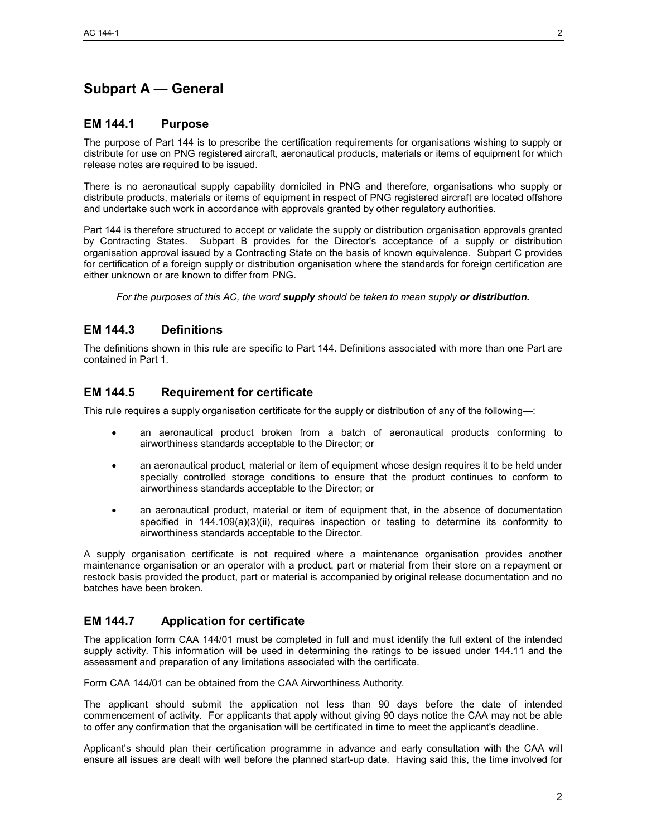# **Subpart A — General**

# **EM 144.1 Purpose**

The purpose of Part 144 is to prescribe the certification requirements for organisations wishing to supply or distribute for use on PNG registered aircraft, aeronautical products, materials or items of equipment for which release notes are required to be issued.

There is no aeronautical supply capability domiciled in PNG and therefore, organisations who supply or distribute products, materials or items of equipment in respect of PNG registered aircraft are located offshore and undertake such work in accordance with approvals granted by other regulatory authorities.

Part 144 is therefore structured to accept or validate the supply or distribution organisation approvals granted by Contracting States. Subpart B provides for the Director's acceptance of a supply or distribution organisation approval issued by a Contracting State on the basis of known equivalence. Subpart C provides for certification of a foreign supply or distribution organisation where the standards for foreign certification are either unknown or are known to differ from PNG.

*For the purposes of this AC, the word supply should be taken to mean supply or distribution.*

# **EM 144.3 Definitions**

The definitions shown in this rule are specific to Part 144. Definitions associated with more than one Part are contained in Part 1.

# **EM 144.5 Requirement for certificate**

This rule requires a supply organisation certificate for the supply or distribution of any of the following—:

- an aeronautical product broken from a batch of aeronautical products conforming to airworthiness standards acceptable to the Director; or
- an aeronautical product, material or item of equipment whose design requires it to be held under specially controlled storage conditions to ensure that the product continues to conform to airworthiness standards acceptable to the Director; or
- an aeronautical product, material or item of equipment that, in the absence of documentation specified in 144.109(a)(3)(ii), requires inspection or testing to determine its conformity to airworthiness standards acceptable to the Director.

A supply organisation certificate is not required where a maintenance organisation provides another maintenance organisation or an operator with a product, part or material from their store on a repayment or restock basis provided the product, part or material is accompanied by original release documentation and no batches have been broken.

### **EM 144.7 Application for certificate**

The application form CAA 144/01 must be completed in full and must identify the full extent of the intended supply activity. This information will be used in determining the ratings to be issued under 144.11 and the assessment and preparation of any limitations associated with the certificate.

Form CAA 144/01 can be obtained from the CAA Airworthiness Authority.

The applicant should submit the application not less than 90 days before the date of intended commencement of activity. For applicants that apply without giving 90 days notice the CAA may not be able to offer any confirmation that the organisation will be certificated in time to meet the applicant's deadline.

Applicant's should plan their certification programme in advance and early consultation with the CAA will ensure all issues are dealt with well before the planned start-up date. Having said this, the time involved for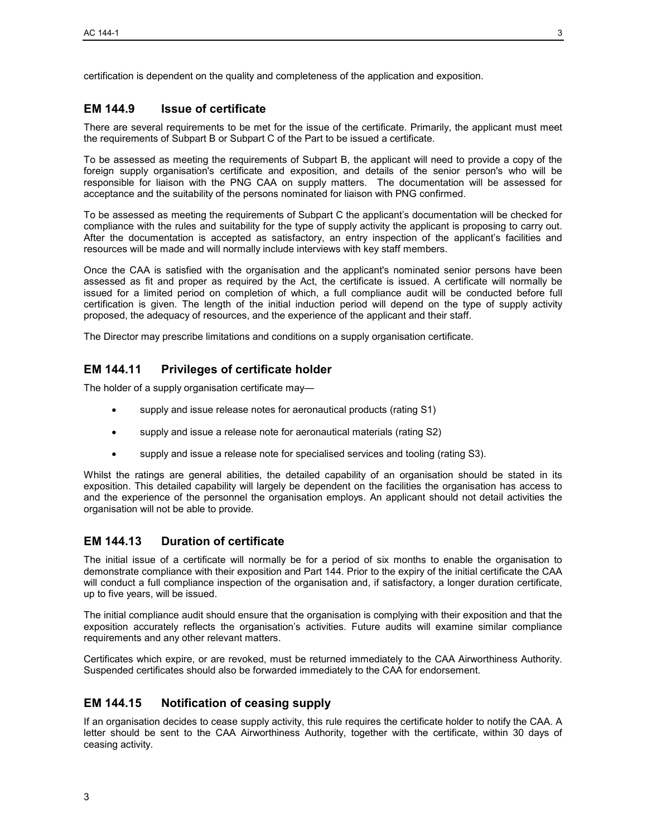certification is dependent on the quality and completeness of the application and exposition.

# **EM 144.9 Issue of certificate**

There are several requirements to be met for the issue of the certificate. Primarily, the applicant must meet the requirements of Subpart B or Subpart C of the Part to be issued a certificate.

To be assessed as meeting the requirements of Subpart B, the applicant will need to provide a copy of the foreign supply organisation's certificate and exposition, and details of the senior person's who will be responsible for liaison with the PNG CAA on supply matters. The documentation will be assessed for acceptance and the suitability of the persons nominated for liaison with PNG confirmed.

To be assessed as meeting the requirements of Subpart C the applicant's documentation will be checked for compliance with the rules and suitability for the type of supply activity the applicant is proposing to carry out. After the documentation is accepted as satisfactory, an entry inspection of the applicant's facilities and resources will be made and will normally include interviews with key staff members.

Once the CAA is satisfied with the organisation and the applicant's nominated senior persons have been assessed as fit and proper as required by the Act, the certificate is issued. A certificate will normally be issued for a limited period on completion of which, a full compliance audit will be conducted before full certification is given. The length of the initial induction period will depend on the type of supply activity proposed, the adequacy of resources, and the experience of the applicant and their staff.

The Director may prescribe limitations and conditions on a supply organisation certificate.

# **EM 144.11 Privileges of certificate holder**

The holder of a supply organisation certificate may—

- supply and issue release notes for aeronautical products (rating S1)
- supply and issue a release note for aeronautical materials (rating S2)
- supply and issue a release note for specialised services and tooling (rating S3).

Whilst the ratings are general abilities, the detailed capability of an organisation should be stated in its exposition. This detailed capability will largely be dependent on the facilities the organisation has access to and the experience of the personnel the organisation employs. An applicant should not detail activities the organisation will not be able to provide.

# **EM 144.13 Duration of certificate**

The initial issue of a certificate will normally be for a period of six months to enable the organisation to demonstrate compliance with their exposition and Part 144. Prior to the expiry of the initial certificate the CAA will conduct a full compliance inspection of the organisation and, if satisfactory, a longer duration certificate, up to five years, will be issued.

The initial compliance audit should ensure that the organisation is complying with their exposition and that the exposition accurately reflects the organisation's activities. Future audits will examine similar compliance requirements and any other relevant matters.

Certificates which expire, or are revoked, must be returned immediately to the CAA Airworthiness Authority. Suspended certificates should also be forwarded immediately to the CAA for endorsement.

# **EM 144.15 Notification of ceasing supply**

If an organisation decides to cease supply activity, this rule requires the certificate holder to notify the CAA. A letter should be sent to the CAA Airworthiness Authority, together with the certificate, within 30 days of ceasing activity.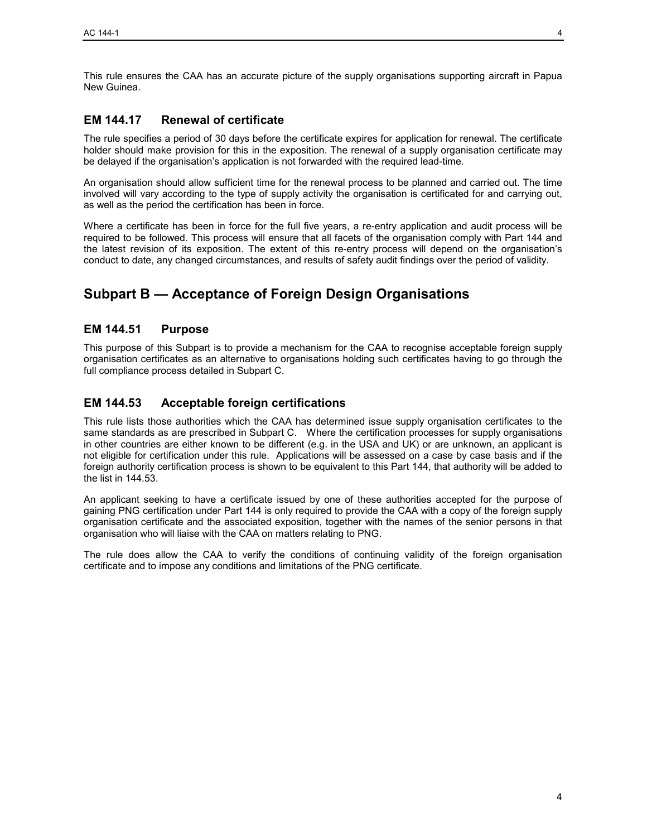This rule ensures the CAA has an accurate picture of the supply organisations supporting aircraft in Papua New Guinea.

# **EM 144.17 Renewal of certificate**

The rule specifies a period of 30 days before the certificate expires for application for renewal. The certificate holder should make provision for this in the exposition. The renewal of a supply organisation certificate may be delayed if the organisation's application is not forwarded with the required lead-time.

An organisation should allow sufficient time for the renewal process to be planned and carried out. The time involved will vary according to the type of supply activity the organisation is certificated for and carrying out, as well as the period the certification has been in force.

Where a certificate has been in force for the full five years, a re-entry application and audit process will be required to be followed. This process will ensure that all facets of the organisation comply with Part 144 and the latest revision of its exposition. The extent of this re-entry process will depend on the organisation's conduct to date, any changed circumstances, and results of safety audit findings over the period of validity.

# **Subpart B — Acceptance of Foreign Design Organisations**

# **EM 144.51 Purpose**

This purpose of this Subpart is to provide a mechanism for the CAA to recognise acceptable foreign supply organisation certificates as an alternative to organisations holding such certificates having to go through the full compliance process detailed in Subpart C.

# **EM 144.53 Acceptable foreign certifications**

This rule lists those authorities which the CAA has determined issue supply organisation certificates to the same standards as are prescribed in Subpart C. Where the certification processes for supply organisations in other countries are either known to be different (e.g. in the USA and UK) or are unknown, an applicant is not eligible for certification under this rule. Applications will be assessed on a case by case basis and if the foreign authority certification process is shown to be equivalent to this Part 144, that authority will be added to the list in 144.53.

An applicant seeking to have a certificate issued by one of these authorities accepted for the purpose of gaining PNG certification under Part 144 is only required to provide the CAA with a copy of the foreign supply organisation certificate and the associated exposition, together with the names of the senior persons in that organisation who will liaise with the CAA on matters relating to PNG.

The rule does allow the CAA to verify the conditions of continuing validity of the foreign organisation certificate and to impose any conditions and limitations of the PNG certificate.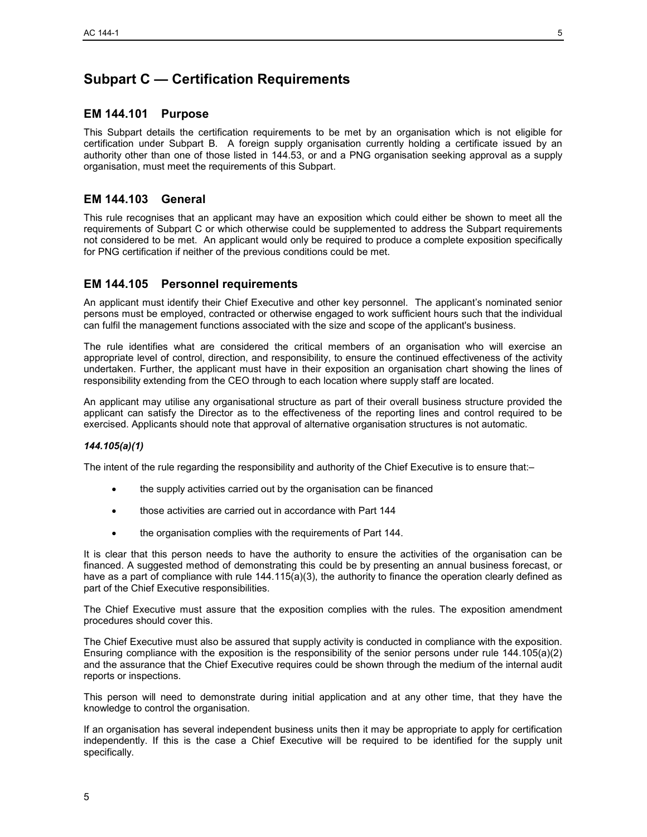# **Subpart C — Certification Requirements**

# **EM 144.101 Purpose**

This Subpart details the certification requirements to be met by an organisation which is not eligible for certification under Subpart B. A foreign supply organisation currently holding a certificate issued by an authority other than one of those listed in 144.53, or and a PNG organisation seeking approval as a supply organisation, must meet the requirements of this Subpart.

# **EM 144.103 General**

This rule recognises that an applicant may have an exposition which could either be shown to meet all the requirements of Subpart C or which otherwise could be supplemented to address the Subpart requirements not considered to be met. An applicant would only be required to produce a complete exposition specifically for PNG certification if neither of the previous conditions could be met.

# **EM 144.105 Personnel requirements**

An applicant must identify their Chief Executive and other key personnel. The applicant's nominated senior persons must be employed, contracted or otherwise engaged to work sufficient hours such that the individual can fulfil the management functions associated with the size and scope of the applicant's business.

The rule identifies what are considered the critical members of an organisation who will exercise an appropriate level of control, direction, and responsibility, to ensure the continued effectiveness of the activity undertaken. Further, the applicant must have in their exposition an organisation chart showing the lines of responsibility extending from the CEO through to each location where supply staff are located.

An applicant may utilise any organisational structure as part of their overall business structure provided the applicant can satisfy the Director as to the effectiveness of the reporting lines and control required to be exercised. Applicants should note that approval of alternative organisation structures is not automatic.

#### *144.105(a)(1)*

The intent of the rule regarding the responsibility and authority of the Chief Executive is to ensure that:–

- the supply activities carried out by the organisation can be financed
- those activities are carried out in accordance with Part 144
- the organisation complies with the requirements of Part 144.

It is clear that this person needs to have the authority to ensure the activities of the organisation can be financed. A suggested method of demonstrating this could be by presenting an annual business forecast, or have as a part of compliance with rule 144.115(a)(3), the authority to finance the operation clearly defined as part of the Chief Executive responsibilities.

The Chief Executive must assure that the exposition complies with the rules. The exposition amendment procedures should cover this.

The Chief Executive must also be assured that supply activity is conducted in compliance with the exposition. Ensuring compliance with the exposition is the responsibility of the senior persons under rule 144.105(a)(2) and the assurance that the Chief Executive requires could be shown through the medium of the internal audit reports or inspections.

This person will need to demonstrate during initial application and at any other time, that they have the knowledge to control the organisation.

If an organisation has several independent business units then it may be appropriate to apply for certification independently. If this is the case a Chief Executive will be required to be identified for the supply unit specifically.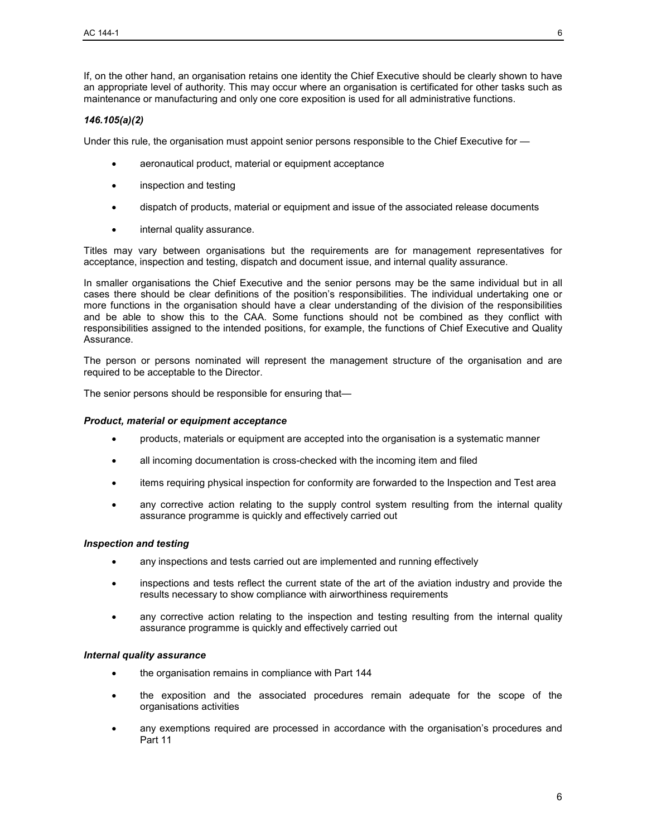If, on the other hand, an organisation retains one identity the Chief Executive should be clearly shown to have an appropriate level of authority. This may occur where an organisation is certificated for other tasks such as maintenance or manufacturing and only one core exposition is used for all administrative functions.

#### *146.105(a)(2)*

Under this rule, the organisation must appoint senior persons responsible to the Chief Executive for —

- aeronautical product, material or equipment acceptance
- inspection and testing
- dispatch of products, material or equipment and issue of the associated release documents
- internal quality assurance.

Titles may vary between organisations but the requirements are for management representatives for acceptance, inspection and testing, dispatch and document issue, and internal quality assurance.

In smaller organisations the Chief Executive and the senior persons may be the same individual but in all cases there should be clear definitions of the position's responsibilities. The individual undertaking one or more functions in the organisation should have a clear understanding of the division of the responsibilities and be able to show this to the CAA. Some functions should not be combined as they conflict with responsibilities assigned to the intended positions, for example, the functions of Chief Executive and Quality Assurance.

The person or persons nominated will represent the management structure of the organisation and are required to be acceptable to the Director.

The senior persons should be responsible for ensuring that—

#### *Product, material or equipment acceptance*

- products, materials or equipment are accepted into the organisation is a systematic manner
- all incoming documentation is cross-checked with the incoming item and filed
- items requiring physical inspection for conformity are forwarded to the Inspection and Test area
- any corrective action relating to the supply control system resulting from the internal quality assurance programme is quickly and effectively carried out

#### *Inspection and testing*

- any inspections and tests carried out are implemented and running effectively
- inspections and tests reflect the current state of the art of the aviation industry and provide the results necessary to show compliance with airworthiness requirements
- any corrective action relating to the inspection and testing resulting from the internal quality assurance programme is quickly and effectively carried out

#### *Internal quality assurance*

- the organisation remains in compliance with Part 144
- the exposition and the associated procedures remain adequate for the scope of the organisations activities
- any exemptions required are processed in accordance with the organisation's procedures and Part 11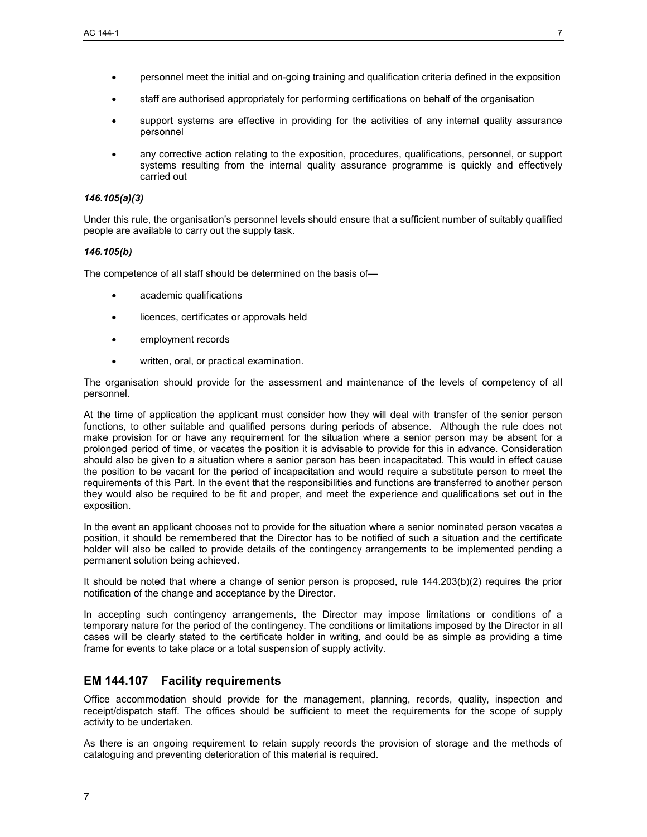- personnel meet the initial and on-going training and qualification criteria defined in the exposition
- staff are authorised appropriately for performing certifications on behalf of the organisation
- support systems are effective in providing for the activities of any internal quality assurance personnel
- any corrective action relating to the exposition, procedures, qualifications, personnel, or support systems resulting from the internal quality assurance programme is quickly and effectively carried out

#### *146.105(a)(3)*

Under this rule, the organisation's personnel levels should ensure that a sufficient number of suitably qualified people are available to carry out the supply task.

#### *146.105(b)*

The competence of all staff should be determined on the basis of—

- academic qualifications
- licences, certificates or approvals held
- employment records
- written, oral, or practical examination.

The organisation should provide for the assessment and maintenance of the levels of competency of all personnel.

At the time of application the applicant must consider how they will deal with transfer of the senior person functions, to other suitable and qualified persons during periods of absence. Although the rule does not make provision for or have any requirement for the situation where a senior person may be absent for a prolonged period of time, or vacates the position it is advisable to provide for this in advance. Consideration should also be given to a situation where a senior person has been incapacitated. This would in effect cause the position to be vacant for the period of incapacitation and would require a substitute person to meet the requirements of this Part. In the event that the responsibilities and functions are transferred to another person they would also be required to be fit and proper, and meet the experience and qualifications set out in the exposition.

In the event an applicant chooses not to provide for the situation where a senior nominated person vacates a position, it should be remembered that the Director has to be notified of such a situation and the certificate holder will also be called to provide details of the contingency arrangements to be implemented pending a permanent solution being achieved.

It should be noted that where a change of senior person is proposed, rule 144.203(b)(2) requires the prior notification of the change and acceptance by the Director.

In accepting such contingency arrangements, the Director may impose limitations or conditions of a temporary nature for the period of the contingency. The conditions or limitations imposed by the Director in all cases will be clearly stated to the certificate holder in writing, and could be as simple as providing a time frame for events to take place or a total suspension of supply activity.

### **EM 144.107 Facility requirements**

Office accommodation should provide for the management, planning, records, quality, inspection and receipt/dispatch staff. The offices should be sufficient to meet the requirements for the scope of supply activity to be undertaken.

As there is an ongoing requirement to retain supply records the provision of storage and the methods of cataloguing and preventing deterioration of this material is required.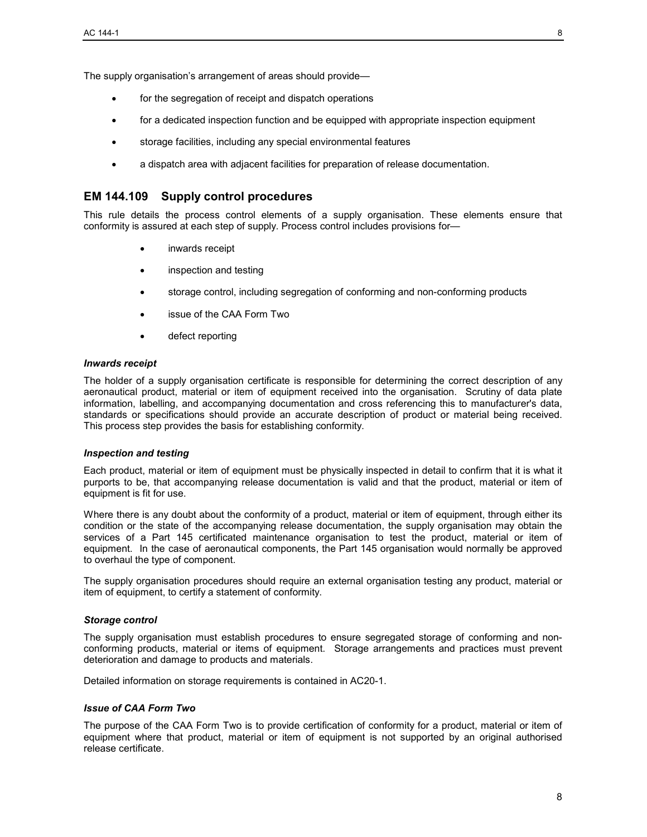The supply organisation's arrangement of areas should provide—

- for the segregation of receipt and dispatch operations
- for a dedicated inspection function and be equipped with appropriate inspection equipment
- storage facilities, including any special environmental features
- a dispatch area with adjacent facilities for preparation of release documentation.

### **EM 144.109 Supply control procedures**

This rule details the process control elements of a supply organisation. These elements ensure that conformity is assured at each step of supply. Process control includes provisions for—

- inwards receipt
- inspection and testing
- storage control, including segregation of conforming and non-conforming products
- issue of the CAA Form Two
- defect reporting

#### *Inwards receipt*

The holder of a supply organisation certificate is responsible for determining the correct description of any aeronautical product, material or item of equipment received into the organisation. Scrutiny of data plate information, labelling, and accompanying documentation and cross referencing this to manufacturer's data, standards or specifications should provide an accurate description of product or material being received. This process step provides the basis for establishing conformity.

#### *Inspection and testing*

Each product, material or item of equipment must be physically inspected in detail to confirm that it is what it purports to be, that accompanying release documentation is valid and that the product, material or item of equipment is fit for use.

Where there is any doubt about the conformity of a product, material or item of equipment, through either its condition or the state of the accompanying release documentation, the supply organisation may obtain the services of a Part 145 certificated maintenance organisation to test the product, material or item of equipment. In the case of aeronautical components, the Part 145 organisation would normally be approved to overhaul the type of component.

The supply organisation procedures should require an external organisation testing any product, material or item of equipment, to certify a statement of conformity.

#### *Storage control*

The supply organisation must establish procedures to ensure segregated storage of conforming and nonconforming products, material or items of equipment. Storage arrangements and practices must prevent deterioration and damage to products and materials.

Detailed information on storage requirements is contained in AC20-1.

#### *Issue of CAA Form Two*

The purpose of the CAA Form Two is to provide certification of conformity for a product, material or item of equipment where that product, material or item of equipment is not supported by an original authorised release certificate.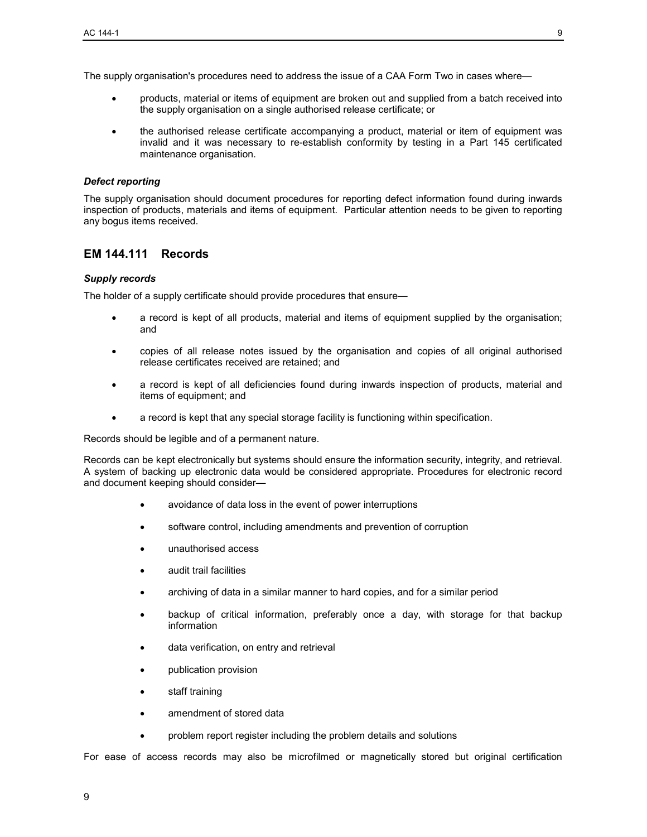The supply organisation's procedures need to address the issue of a CAA Form Two in cases where—

- products, material or items of equipment are broken out and supplied from a batch received into the supply organisation on a single authorised release certificate; or
- the authorised release certificate accompanying a product, material or item of equipment was invalid and it was necessary to re-establish conformity by testing in a Part 145 certificated maintenance organisation.

#### *Defect reporting*

The supply organisation should document procedures for reporting defect information found during inwards inspection of products, materials and items of equipment. Particular attention needs to be given to reporting any bogus items received.

# **EM 144.111 Records**

#### *Supply records*

The holder of a supply certificate should provide procedures that ensure—

- a record is kept of all products, material and items of equipment supplied by the organisation; and
- copies of all release notes issued by the organisation and copies of all original authorised release certificates received are retained; and
- a record is kept of all deficiencies found during inwards inspection of products, material and items of equipment; and
- a record is kept that any special storage facility is functioning within specification.

Records should be legible and of a permanent nature.

Records can be kept electronically but systems should ensure the information security, integrity, and retrieval. A system of backing up electronic data would be considered appropriate. Procedures for electronic record and document keeping should consider—

- avoidance of data loss in the event of power interruptions
- software control, including amendments and prevention of corruption
- unauthorised access
- audit trail facilities
- archiving of data in a similar manner to hard copies, and for a similar period
- backup of critical information, preferably once a day, with storage for that backup information
- data verification, on entry and retrieval
- publication provision
- staff training
- amendment of stored data
- problem report register including the problem details and solutions

For ease of access records may also be microfilmed or magnetically stored but original certification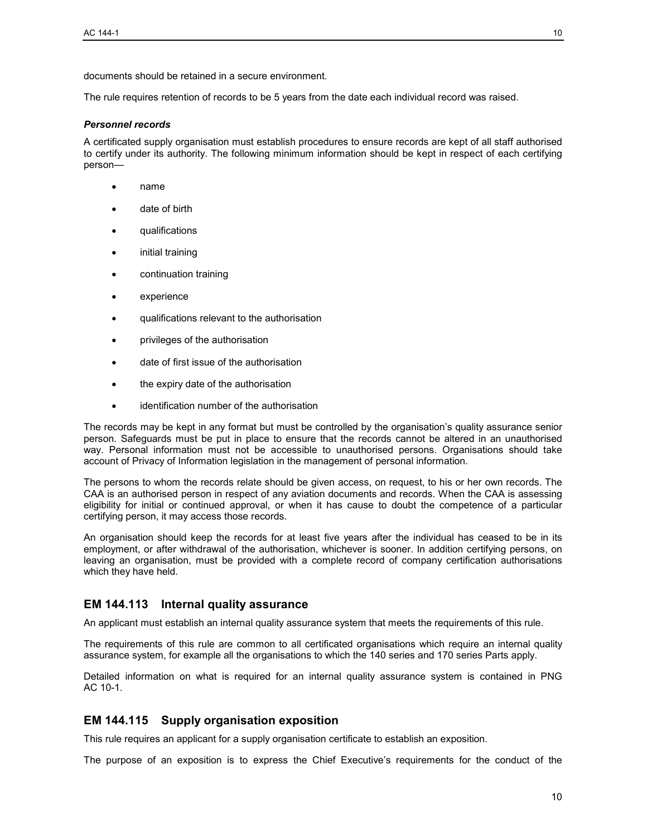The rule requires retention of records to be 5 years from the date each individual record was raised.

#### *Personnel records*

A certificated supply organisation must establish procedures to ensure records are kept of all staff authorised to certify under its authority. The following minimum information should be kept in respect of each certifying person—

- name
- date of birth
- qualifications
- initial training
- continuation training
- experience
- qualifications relevant to the authorisation
- privileges of the authorisation
- date of first issue of the authorisation
- the expiry date of the authorisation
- identification number of the authorisation

The records may be kept in any format but must be controlled by the organisation's quality assurance senior person. Safeguards must be put in place to ensure that the records cannot be altered in an unauthorised way. Personal information must not be accessible to unauthorised persons. Organisations should take account of Privacy of Information legislation in the management of personal information.

The persons to whom the records relate should be given access, on request, to his or her own records. The CAA is an authorised person in respect of any aviation documents and records. When the CAA is assessing eligibility for initial or continued approval, or when it has cause to doubt the competence of a particular certifying person, it may access those records.

An organisation should keep the records for at least five years after the individual has ceased to be in its employment, or after withdrawal of the authorisation, whichever is sooner. In addition certifying persons, on leaving an organisation, must be provided with a complete record of company certification authorisations which they have held.

### **EM 144.113 Internal quality assurance**

An applicant must establish an internal quality assurance system that meets the requirements of this rule.

The requirements of this rule are common to all certificated organisations which require an internal quality assurance system, for example all the organisations to which the 140 series and 170 series Parts apply.

Detailed information on what is required for an internal quality assurance system is contained in PNG AC 10-1.

### **EM 144.115 Supply organisation exposition**

This rule requires an applicant for a supply organisation certificate to establish an exposition.

The purpose of an exposition is to express the Chief Executive's requirements for the conduct of the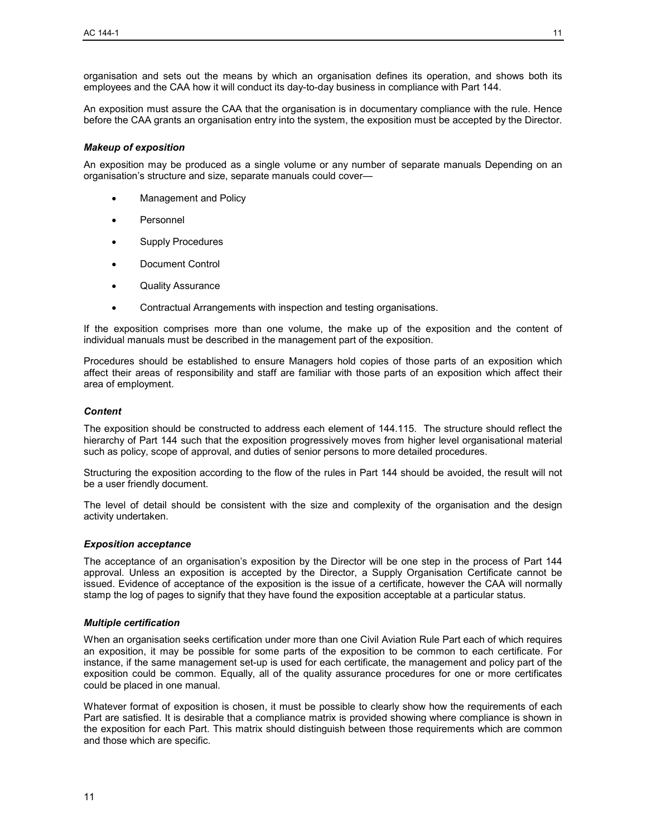organisation and sets out the means by which an organisation defines its operation, and shows both its employees and the CAA how it will conduct its day-to-day business in compliance with Part 144.

An exposition must assure the CAA that the organisation is in documentary compliance with the rule. Hence before the CAA grants an organisation entry into the system, the exposition must be accepted by the Director.

#### *Makeup of exposition*

An exposition may be produced as a single volume or any number of separate manuals Depending on an organisation's structure and size, separate manuals could cover—

- Management and Policy
- **Personnel**
- Supply Procedures
- Document Control
- Quality Assurance
- Contractual Arrangements with inspection and testing organisations.

If the exposition comprises more than one volume, the make up of the exposition and the content of individual manuals must be described in the management part of the exposition.

Procedures should be established to ensure Managers hold copies of those parts of an exposition which affect their areas of responsibility and staff are familiar with those parts of an exposition which affect their area of employment.

#### *Content*

The exposition should be constructed to address each element of 144.115. The structure should reflect the hierarchy of Part 144 such that the exposition progressively moves from higher level organisational material such as policy, scope of approval, and duties of senior persons to more detailed procedures.

Structuring the exposition according to the flow of the rules in Part 144 should be avoided, the result will not be a user friendly document.

The level of detail should be consistent with the size and complexity of the organisation and the design activity undertaken.

#### *Exposition acceptance*

The acceptance of an organisation's exposition by the Director will be one step in the process of Part 144 approval. Unless an exposition is accepted by the Director, a Supply Organisation Certificate cannot be issued. Evidence of acceptance of the exposition is the issue of a certificate, however the CAA will normally stamp the log of pages to signify that they have found the exposition acceptable at a particular status.

#### *Multiple certification*

When an organisation seeks certification under more than one Civil Aviation Rule Part each of which requires an exposition, it may be possible for some parts of the exposition to be common to each certificate. For instance, if the same management set-up is used for each certificate, the management and policy part of the exposition could be common. Equally, all of the quality assurance procedures for one or more certificates could be placed in one manual.

Whatever format of exposition is chosen, it must be possible to clearly show how the requirements of each Part are satisfied. It is desirable that a compliance matrix is provided showing where compliance is shown in the exposition for each Part. This matrix should distinguish between those requirements which are common and those which are specific.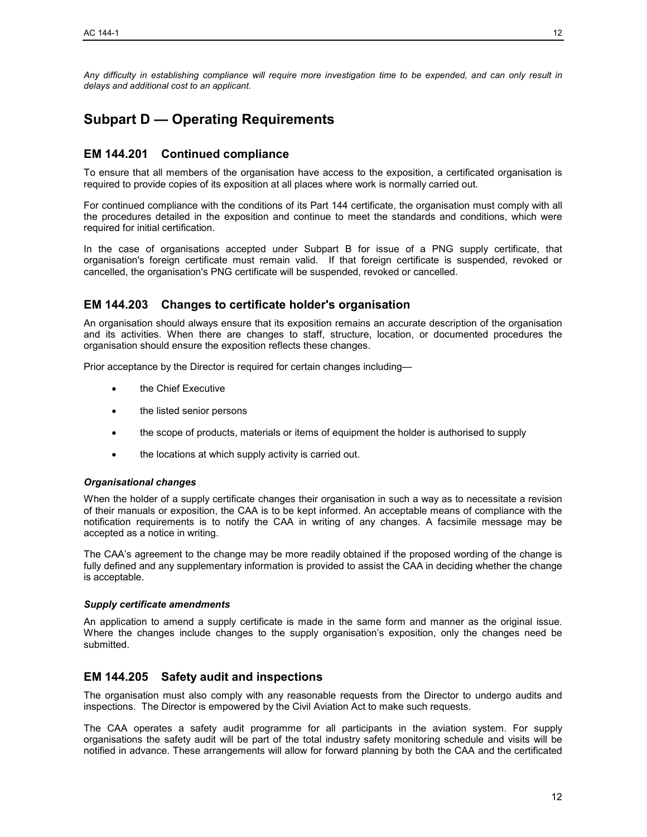*Any difficulty in establishing compliance will require more investigation time to be expended, and can only result in delays and additional cost to an applicant.* 

# **Subpart D — Operating Requirements**

# **EM 144.201 Continued compliance**

To ensure that all members of the organisation have access to the exposition, a certificated organisation is required to provide copies of its exposition at all places where work is normally carried out.

For continued compliance with the conditions of its Part 144 certificate, the organisation must comply with all the procedures detailed in the exposition and continue to meet the standards and conditions, which were required for initial certification.

In the case of organisations accepted under Subpart B for issue of a PNG supply certificate, that organisation's foreign certificate must remain valid. If that foreign certificate is suspended, revoked or cancelled, the organisation's PNG certificate will be suspended, revoked or cancelled.

# **EM 144.203 Changes to certificate holder's organisation**

An organisation should always ensure that its exposition remains an accurate description of the organisation and its activities. When there are changes to staff, structure, location, or documented procedures the organisation should ensure the exposition reflects these changes.

Prior acceptance by the Director is required for certain changes including—

- the Chief Executive
- the listed senior persons
- the scope of products, materials or items of equipment the holder is authorised to supply
- the locations at which supply activity is carried out.

#### *Organisational changes*

When the holder of a supply certificate changes their organisation in such a way as to necessitate a revision of their manuals or exposition, the CAA is to be kept informed. An acceptable means of compliance with the notification requirements is to notify the CAA in writing of any changes. A facsimile message may be accepted as a notice in writing.

The CAA's agreement to the change may be more readily obtained if the proposed wording of the change is fully defined and any supplementary information is provided to assist the CAA in deciding whether the change is acceptable.

#### *Supply certificate amendments*

An application to amend a supply certificate is made in the same form and manner as the original issue. Where the changes include changes to the supply organisation's exposition, only the changes need be submitted.

### **EM 144.205 Safety audit and inspections**

The organisation must also comply with any reasonable requests from the Director to undergo audits and inspections. The Director is empowered by the Civil Aviation Act to make such requests.

The CAA operates a safety audit programme for all participants in the aviation system. For supply organisations the safety audit will be part of the total industry safety monitoring schedule and visits will be notified in advance. These arrangements will allow for forward planning by both the CAA and the certificated